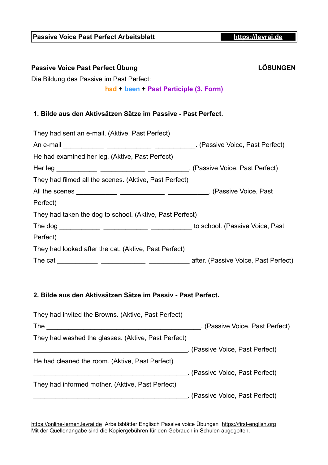| Passive Voice Past Perfect Übung<br>Die Bildung des Passive im Past Perfect:<br>had + been + Past Participle (3. Form) | <b>LÖSUNGEN</b> |
|------------------------------------------------------------------------------------------------------------------------|-----------------|
| 1. Bilde aus den Aktivsätzen Sätze im Passive - Past Perfect.                                                          |                 |
| They had sent an e-mail. (Aktive, Past Perfect)                                                                        |                 |
|                                                                                                                        |                 |
| He had examined her leg. (Aktive, Past Perfect)                                                                        |                 |
|                                                                                                                        |                 |
| They had filmed all the scenes. (Aktive, Past Perfect)                                                                 |                 |
|                                                                                                                        |                 |
| Perfect)                                                                                                               |                 |
| They had taken the dog to school. (Aktive, Past Perfect)                                                               |                 |
|                                                                                                                        |                 |
| Perfect)                                                                                                               |                 |
| They had looked after the cat. (Aktive, Past Perfect)                                                                  |                 |
|                                                                                                                        |                 |
|                                                                                                                        |                 |

**Passive Voice Past Perfect Arbeitsblatt [https://levrai.de](https://levrai.de/)**

## **2. Bilde aus den Aktivsätzen Sätze im Passiv - Past Perfect.**

| They had invited the Browns. (Aktive, Past Perfect) |                                 |
|-----------------------------------------------------|---------------------------------|
| The                                                 | . (Passive Voice, Past Perfect) |
| They had washed the glasses. (Aktive, Past Perfect) |                                 |
|                                                     | (Passive Voice, Past Perfect)   |
| He had cleaned the room. (Aktive, Past Perfect)     |                                 |
|                                                     | . (Passive Voice, Past Perfect) |
| They had informed mother. (Aktive, Past Perfect)    |                                 |
|                                                     | . (Passive Voice, Past Perfect) |

[https://online-lernen.levrai.de](https://online-lernen.levrai.de/englisch/aktiv_passiv/a_aktiv_passiv_englisch.htm) Arbeitsblätter Englisch Passive voice Übungen [https://first-english.org](https://first-english.org/english_learning/english_active_passive/01_active_passive_english_rules.htm) Mit der Quellenangabe sind die Kopiergebühren für den Gebrauch in Schulen abgegolten.